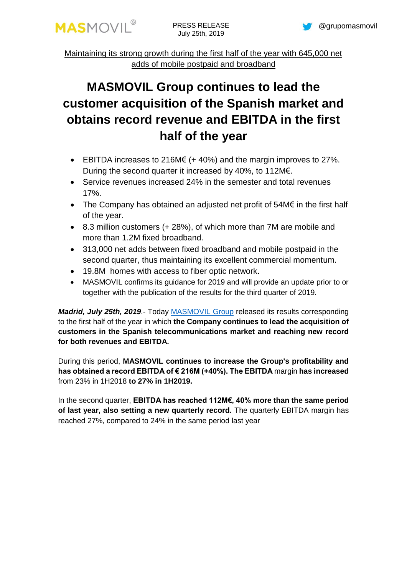

Maintaining its strong growth during the first half of the year with 645,000 net adds of mobile postpaid and broadband

# **MASMOVIL Group continues to lead the customer acquisition of the Spanish market and obtains record revenue and EBITDA in the first half of the year**

- EBITDA increases to 216M $\epsilon$  (+ 40%) and the margin improves to 27%. During the second quarter it increased by 40%, to 112M€.
- Service revenues increased 24% in the semester and total revenues 17%.
- The Company has obtained an adjusted net profit of 54M€ in the first half of the year.
- 8.3 million customers (+ 28%), of which more than 7M are mobile and more than 1.2M fixed broadband.
- 313,000 net adds between fixed broadband and mobile postpaid in the second quarter, thus maintaining its excellent commercial momentum.
- 19.8M homes with access to fiber optic network.
- MASMOVIL confirms its quidance for 2019 and will provide an update prior to or together with the publication of the results for the third quarter of 2019.

*Madrid, July 25th, 2019*.- Today [MASMOVIL](http://www.grupomasmovil.com/) Group released its results corresponding to the first half of the year in which **the Company continues to lead the acquisition of customers in the Spanish telecommunications market and reaching new record for both revenues and EBITDA.**

During this period, **MASMOVIL continues to increase the Group's profitability and has obtained a record EBITDA of € 216M (+40%). The EBITDA** margin **has increased** from 23% in 1H2018 **to 27% in 1H2019.**

In the second quarter, **EBITDA has reached 112M€, 40% more than the same period of last year, also setting a new quarterly record.** The quarterly EBITDA margin has reached 27%, compared to 24% in the same period last year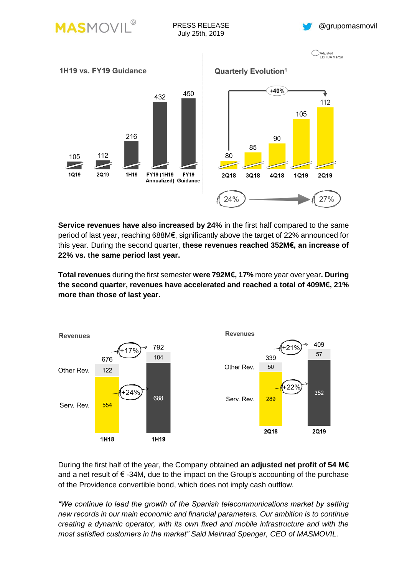







**Service revenues have also increased by 24%** in the first half compared to the same period of last year, reaching 688M€, significantly above the target of 22% announced for this year. During the second quarter, **these revenues reached 352M€, an increase of 22% vs. the same period last year.**

**Total revenues** during the first semester **were 792M€, 17%** more year over year**. During the second quarter, revenues have accelerated and reached a total of 409M€, 21% more than those of last year.**



During the first half of the year, the Company obtained **an adjusted net profit of 54 M€** and a net result of  $\epsilon$  -34M, due to the impact on the Group's accounting of the purchase of the Providence convertible bond, which does not imply cash outflow.

*"We continue to lead the growth of the Spanish telecommunications market by setting new records in our main economic and financial parameters. Our ambition is to continue creating a dynamic operator, with its own fixed and mobile infrastructure and with the most satisfied customers in the market" Said Meinrad Spenger, CEO of MASMOVIL.*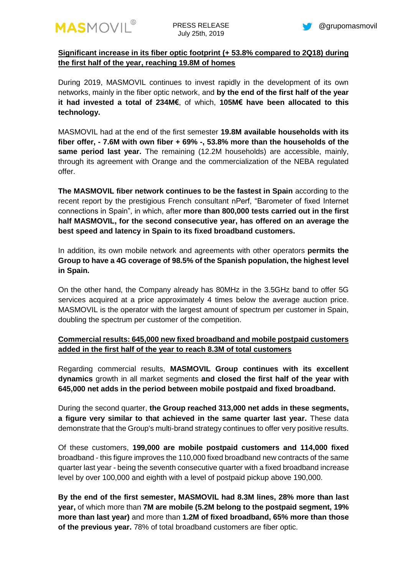

## **Significant increase in its fiber optic footprint (+ 53.8% compared to 2Q18) during the first half of the year, reaching 19.8M of homes**

During 2019, MASMOVIL continues to invest rapidly in the development of its own networks, mainly in the fiber optic network, and **by the end of the first half of the year it had invested a total of 234M€**, of which, **105M€ have been allocated to this technology.**

MASMOVIL had at the end of the first semester **19.8M available households with its fiber offer, - 7.6M with own fiber + 69% -, 53.8% more than the households of the same period last year.** The remaining (12.2M households) are accessible, mainly, through its agreement with Orange and the commercialization of the NEBA regulated offer.

**The MASMOVIL fiber network continues to be the fastest in Spain** according to the recent report by the prestigious French consultant nPerf, "Barometer of fixed Internet connections in Spain", in which, after **more than 800,000 tests carried out in the first half MASMOVIL, for the second consecutive year, has offered on an average the best speed and latency in Spain to its fixed broadband customers.**

In addition, its own mobile network and agreements with other operators **permits the Group to have a 4G coverage of 98.5% of the Spanish population, the highest level in Spain.**

On the other hand, the Company already has 80MHz in the 3.5GHz band to offer 5G services acquired at a price approximately 4 times below the average auction price. MASMOVIL is the operator with the largest amount of spectrum per customer in Spain, doubling the spectrum per customer of the competition.

## **Commercial results: 645,000 new fixed broadband and mobile postpaid customers added in the first half of the year to reach 8.3M of total customers**

Regarding commercial results, **MASMOVIL Group continues with its excellent dynamics** growth in all market segments **and closed the first half of the year with 645,000 net adds in the period between mobile postpaid and fixed broadband.**

During the second quarter, **the Group reached 313,000 net adds in these segments, a figure very similar to that achieved in the same quarter last year.** These data demonstrate that the Group's multi-brand strategy continues to offer very positive results.

Of these customers, **199,000 are mobile postpaid customers and 114,000 fixed**  broadband - this figure improves the 110,000 fixed broadband new contracts of the same quarter last year - being the seventh consecutive quarter with a fixed broadband increase level by over 100,000 and eighth with a level of postpaid pickup above 190,000.

**By the end of the first semester, MASMOVIL had 8.3M lines, 28% more than last year,** of which more than **7M are mobile (5.2M belong to the postpaid segment, 19% more than last year)** and more than **1.2M of fixed broadband, 65% more than those of the previous year.** 78% of total broadband customers are fiber optic.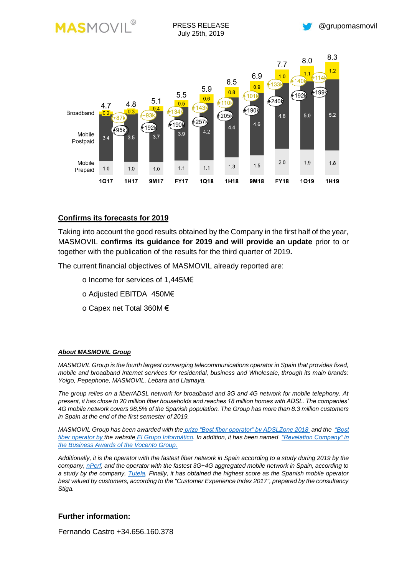

### **Confirms its forecasts for 2019**

Taking into account the good results obtained by the Company in the first half of the year, MASMOVIL **confirms its guidance for 2019 and will provide an update** prior to or together with the publication of the results for the third quarter of 2019**.**

The current financial objectives of MASMOVIL already reported are:

- o Income for services of 1,445M€
- o Adjusted EBITDA 450M€
- o Capex net Total 360M €

#### *About MASMOVIL Group*

*MASMOVIL Group is the fourth largest converging telecommunications operator in Spain that provides fixed, mobile and broadband Internet services for residential, business and Wholesale, through its main brands: Yoigo, Pepephone, MASMOVIL, Lebara and Llamaya.* 

*The group relies on a fiber/ADSL network for broadband and 3G and 4G network for mobile telephony. At present, it has close to 20 million fiber households and reaches 18 million homes with ADSL. The companies' 4G mobile network covers 98,5% of the Spanish population. The Group has more than 8.3 million customers in Spain at the end of the first semester of 2019.*

*MASMOVIL Group has been awarded with the [prize "Best fiber operator" by ADSLZone 2018](https://www.adslzone.net/2018/11/22/premios-adslzone-2018) and the ["Best](https://www.elgrupoinformatico.com/conoce-los-ganadores-los-premios-2018-grupo-informatico-t72341.html)  [fiber operator by the website](https://www.elgrupoinformatico.com/conoce-los-ganadores-los-premios-2018-grupo-informatico-t72341.html) El Grupo Informático. In addition, it has been named ["Revelation Company" in](https://www.abc.es/economia/abci-vocento-entrega-premios-empresariales-14-companias-ejemplares-201901251012_noticia.html)  [the Business Awards of the Vocento Group.](https://www.abc.es/economia/abci-vocento-entrega-premios-empresariales-14-companias-ejemplares-201901251012_noticia.html)*

*Additionally, it is the operator with the fastest fiber network in Spain according to a study during 2019 by the company[, nPerf,](https://www.adslzone.net/2018/02/22/velocidad-fibra-masmovil/) and the operator with the fastest 3G+4G aggregated mobile network in Spain, according to a study by the company, [Tutela.](https://cincodias.elpais.com/cincodias/2018/02/05/lifestyle/1517828904_769144.html) Finally, it has obtained the highest score as the Spanish mobile operator best valued by customers, according to the "Customer Experience Index 2017", prepared by the consultancy Stiga.*

#### **Further information:**

Fernando Castro +34.656.160.378